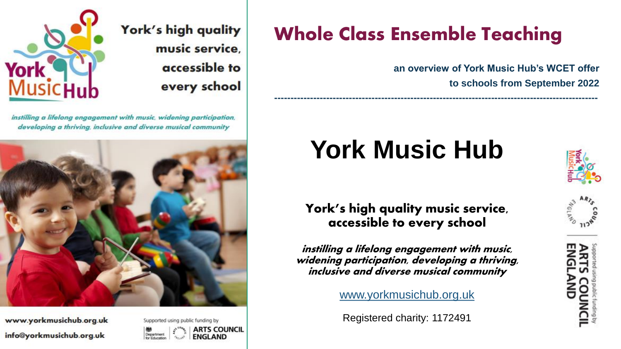

instilling a lifelong engagement with music, widening participation, developing a thriving, inclusive and diverse musical community



www.yorkmusichub.org.uk info@yorkmusichub.org.uk



York's high quality

music service.

accessible to

every school

# Whole Class Ensemble Teaching

**----------------------------------------------------------------------------------------------------**

**an overview of York Music Hub's WCET offer to schools from September 2022**

# **York Music Hub**



York's high quality music service, accessible to every school

instilling a lifelong engagement with music, widening participation, developing a thriving, inclusive and diverse musical community

[www.yorkmusichub.org.uk](http://www.yorkmusichub.org.uk/)

Registered charity: 1172491

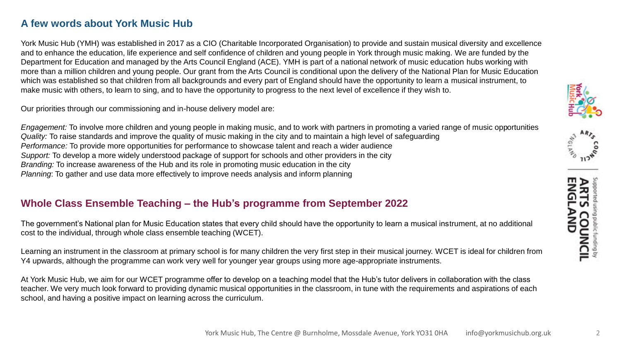## **A few words about York Music Hub**

York Music Hub (YMH) was established in 2017 as a CIO (Charitable Incorporated Organisation) to provide and sustain musical diversity and excellence and to enhance the education, life experience and self confidence of children and young people in York through music making. We are funded by the Department for Education and managed by the Arts Council England (ACE). YMH is part of a national network of music education hubs working with more than a million children and young people. Our grant from the Arts Council is conditional upon the delivery of the National Plan for Music Education which was established so that children from all backgrounds and every part of England should have the opportunity to learn a musical instrument, to make music with others, to learn to sing, and to have the opportunity to progress to the next level of excellence if they wish to.

Our priorities through our commissioning and in-house delivery model are:

*Engagement:* To involve more children and young people in making music, and to work with partners in promoting a varied range of music opportunities *Quality:* To raise standards and improve the quality of music making in the city and to maintain a high level of safeguarding *Performance:* To provide more opportunities for performance to showcase talent and reach a wider audience *Support:* To develop a more widely understood package of support for schools and other providers in the city *Branding:* To increase awareness of the Hub and its role in promoting music education in the city *Planning*: To gather and use data more effectively to improve needs analysis and inform planning

### **Whole Class Ensemble Teaching – the Hub's programme from September 2022**

The government's National plan for Music Education states that every child should have the opportunity to learn a musical instrument, at no additional cost to the individual, through whole class ensemble teaching (WCET).

Learning an instrument in the classroom at primary school is for many children the very first step in their musical journey. WCET is ideal for children from Y4 upwards, although the programme can work very well for younger year groups using more age-appropriate instruments.

At York Music Hub, we aim for our WCET programme offer to develop on a teaching model that the Hub's tutor delivers in collaboration with the class teacher. We very much look forward to providing dynamic musical opportunities in the classroom, in tune with the requirements and aspirations of each school, and having a positive impact on learning across the curriculum.